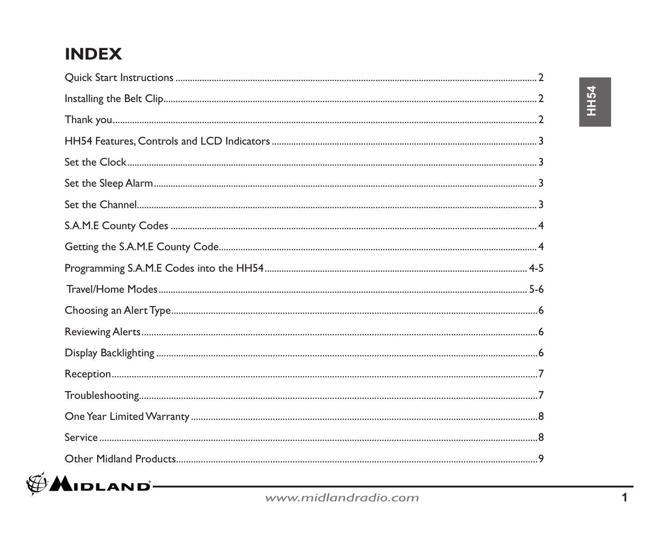## **INDEX**

| $\blacktriangle$ idland $-$ |  |
|-----------------------------|--|
|                             |  |

www.midlandradio.com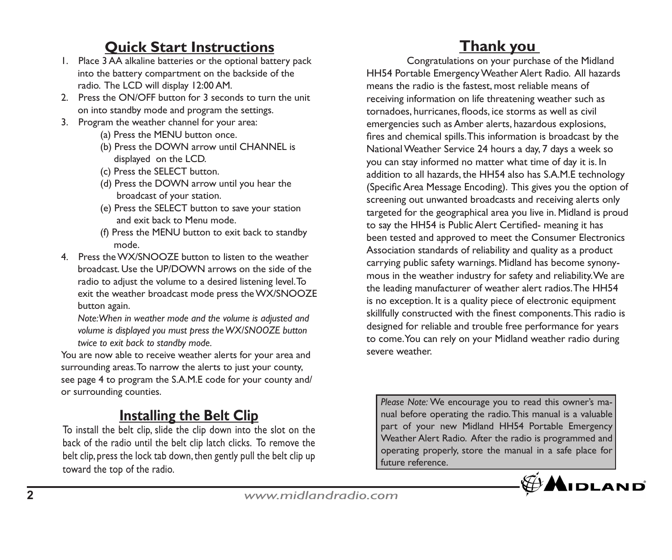## **Quick Start Instructions**

- 1. Place 3 AA alkaline batteries or the optional battery pack into the battery compartment on the backside of the radio. The LCD will display 12:00 AM.
- 2. Press the ON/OFF button for 3 seconds to turn the unit on into standby mode and program the settings.
- 3. Program the weather channel for your area:
	- (a) Press the MENU button once.
	- (b) Press the DOWN arrow until CHANNEL is displayed on the LCD.
	- (c) Press the SELECT button.
	- (d) Press the DOWN arrow until you hear the broadcast of your station.
	- (e) Press the SELECT button to save your station and exit back to Menu mode.
	- (f) Press the MENU button to exit back to standby mode.
- 4. Press the WX/SNOOZE button to listen to the weather broadcast. Use the UP/DOWN arrows on the side of the radio to adjust the volume to a desired listening level. To exit the weather broadcast mode press the WX/SNOOZE button again.

 *Note: When in weather mode and the volume is adjusted and volume is displayed you must press the WX/SNOOZE button twice to exit back to standby mode.*

You are now able to receive weather alerts for your area and surrounding areas. To narrow the alerts to just your county, see page 4 to program the S.A.M.E code for your county and/ or surrounding counties.

### **Installing the Belt Clip**

To install the belt clip, slide the clip down into the slot on the back of the radio until the belt clip latch clicks. To remove the belt clip, press the lock tab down, then gently pull the belt clip up toward the top of the radio.

## **Thank you**

Congratulations on your purchase of the Midland HH54 Portable Emergency Weather Alert Radio. All hazards means the radio is the fastest, most reliable means of receiving information on life threatening weather such as tornadoes, hurricanes, floods, ice storms as well as civil emergencies such as Amber alerts, hazardous explosions, fires and chemical spills. This information is broadcast by the National Weather Service 24 hours a day, 7 days a week so you can stay informed no matter what time of day it is. In addition to all hazards, the HH54 also has S.A.M.E technology (Specific Area Message Encoding). This gives you the option of screening out unwanted broadcasts and receiving alerts only targeted for the geographical area you live in. Midland is proud to say the HH54 is Public Alert Certified- meaning it has been tested and approved to meet the Consumer Electronics Association standards of reliability and quality as a product carrying public safety warnings. Midland has become synonymous in the weather industry for safety and reliability. We are the leading manufacturer of weather alert radios. The HH54 is no exception. It is a quality piece of electronic equipment skillfully constructed with the finest components. This radio is designed for reliable and trouble free performance for years to come. You can rely on your Midland weather radio during severe weather.

*Please Note:* We encourage you to read this owner's manual before operating the radio. This manual is a valuable part of your new Midland HH54 Portable Emergency Weather Alert Radio. After the radio is programmed and operating properly, store the manual in a safe place for future reference.

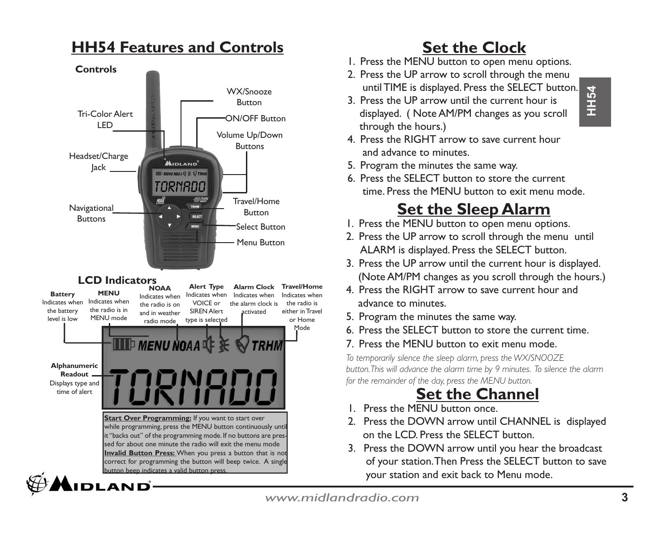### **HH54 Features and Controls**



## **Set the Clock**

- 1. Press the MENU button to open menu options.
- 2. Press the UP arrow to scroll through the menu until TIME is displayed. Press the SELECT button.
- 3. Press the UP arrow until the current hour is displayed. ( Note AM/PM changes as you scroll through the hours.)
- 4. Press the RIGHT arrow to save current hour and advance to minutes.
- 5. Program the minutes the same way.
- 6. Press the SELECT button to store the current time. Press the MENU button to exit menu mode.

## **Set the Sleep Alarm**

- 1. Press the MENU button to open menu options.
- 2. Press the UP arrow to scroll through the menu until ALARM is displayed. Press the SELECT button.
- 3. Press the UP arrow until the current hour is displayed. (Note AM/PM changes as you scroll through the hours.)
- 4. Press the RIGHT arrow to save current hour and advance to minutes.
- 5. Program the minutes the same way.
- 6. Press the SELECT button to store the current time.
- 7. Press the MENU button to exit menu mode.

*To temporarily silence the sleep alarm, press the WX/SNOOZE button. This will advance the alarm time by 9 minutes. To silence the alarm for the remainder of the day, press the MENU button.*

# **Set the Channel**<br>
1. Press the MENU button once.

- 
- 2. Press the DOWN arrow until CHANNEL is displayed on the LCD. Press the SELECT button.
- 3. Press the DOWN arrow until you hear the broadcast of your station. Then Press the SELECT button to save your station and exit back to Menu mode.

*www.midlandradio.com* **<sup>3</sup>**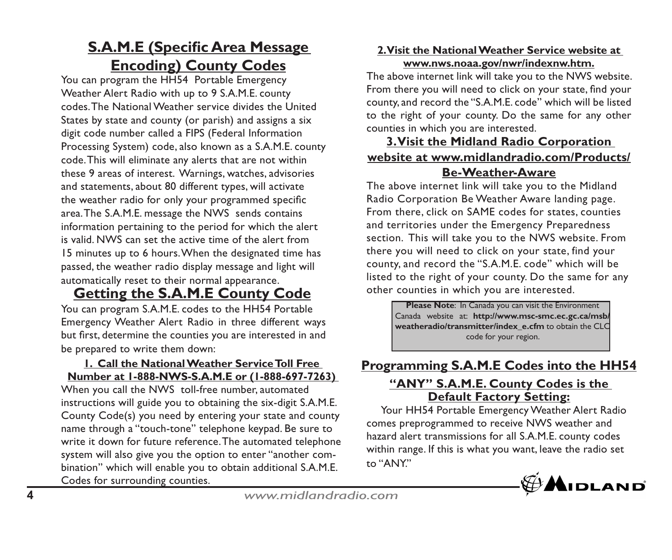### **S.A.M.E (Specific Area Message Encoding) County Codes**

You can program the HH54 Portable Emergency Weather Alert Radio with up to 9 S.A.M.E. county codes. The National Weather service divides the United States by state and county (or parish) and assigns a six digit code number called a FIPS (Federal Information Processing System) code, also known as a S.A.M.E. county code. This will eliminate any alerts that are not within these 9 areas of interest. Warnings, watches, advisories and statements, about 80 different types, will activate the weather radio for only your programmed specific area. The S.A.M.E. message the NWS sends contains information pertaining to the period for which the alert is valid. NWS can set the active time of the alert from 15 minutes up to 6 hours. When the designated time has passed, the weather radio display message and light will automatically reset to their normal appearance.

## **Getting the S.A.M.E County Code** <sup>other</sup> counties in which you are interested.<br> **Please Note: In Canada you can visit the Environment**

You can program S.A.M.E. codes to the HH54 Portable Emergency Weather Alert Radio in three different ways but first, determine the counties you are interested in and be prepared to write them down:

#### **1. Call the National Weather Service Toll Free Number at 1-888-NWS-S.A.M.E or (1-888-697-7263)**

When you call the NWS toll-free number, automated instructions will guide you to obtaining the six-digit S.A.M.E. County Code(s) you need by entering your state and county name through a "touch-tone" telephone keypad. Be sure to write it down for future reference. The automated telephone system will also give you the option to enter "another combination" which will enable you to obtain additional S.A.M.E. Codes for surrounding counties.

### **2. Visit the National Weather Service website at www.nws.noaa.gov/nwr/indexnw.htm.**

The above internet link will take you to the NWS website. From there you will need to click on your state, find your county, and record the "S.A.M.E. code" which will be listed to the right of your county. Do the same for any other counties in which you are interested.

### **3. Visit the Midland Radio Corporation website at www.midlandradio.com/Products/ Be-Weather-Aware**

The above internet link will take you to the Midland Radio Corporation Be Weather Aware landing page. From there, click on SAME codes for states, counties and territories under the Emergency Preparedness section. This will take you to the NWS website. From there you will need to click on your state, find your county, and record the "S.A.M.E. code" which will be listed to the right of your county. Do the same for any other counties in which you are interested.

> Canada website at: **http://www.msc-smc.ec.gc.ca/msb/ weatheradio/transmitter/index\_e.cfm** to obtain the CLC code for your region.

### **Programming S.A.M.E Codes into the HH54**

### **"ANY" S.A.M.E. County Codes is the Default Factory Setting:**

 Your HH54 Portable Emergency Weather Alert Radio comes preprogrammed to receive NWS weather and hazard alert transmissions for all S.A.M.E. county codes within range. If this is what you want, leave the radio set to "ANY."



**<sup>4</sup>***www.midlandradio.com*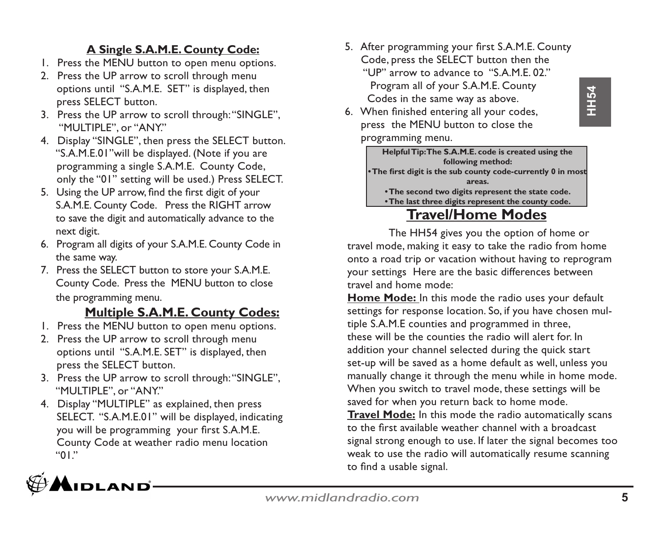# **HH54**

### **A Single S.A.M.E. County Code:**

- 1. Press the MENU button to open menu options.
- 2. Press the UP arrow to scroll through menu options until "S.A.M.E. SET" is displayed, then press SELECT button.
- 3. Press the UP arrow to scroll through: "SINGLE", "MULTIPLE", or "ANY."
- 4. Display "SINGLE", then press the SELECT button. "S.A.M.E.01"will be displayed. (Note if you are programming a single S.A.M.E. County Code, only the "01" setting will be used.) Press SELECT.
- 5. Using the UP arrow, find the first digit of your S.A.M.E. County Code. Press the RIGHT arrow to save the digit and automatically advance to the next digit.
- 6. Program all digits of your S.A.M.E. County Code in the same way.
- 7. Press the SELECT button to store your S.A.M.E. County Code. Press the MENU button to close the programming menu.

### **Multiple S.A.M.E. County Codes:**

- 1. Press the MENU button to open menu options.
- 2. Press the UP arrow to scroll through menu options until "S.A.M.E. SET" is displayed, then press the SELECT button.
- 3. Press the UP arrow to scroll through: "SINGLE", "MULTIPLE", or "ANY."
- 4. Display "MULTIPLE" as explained, then press SELECT. "S.A.M.E.01" will be displayed, indicating you will be programming your first S.A.M.E. County Code at weather radio menu location "01."



- 5. After programming your first S.A.M.E. County Code, press the SELECT button then the "UP" arrow to advance to "S.A.M.E. 02." Program all of your S.A.M.E. County Codes in the same way as above.
- 6. When finished entering all your codes, press the MENU button to close the

programming menu.

**Helpful Tip: The S.A.M.E. code is created using the following method: • The first digit is the sub county code-currently 0 in most areas. • The second two digits represent the state code. • The last three digits represent the county code.**

## **Travel/Home Modes**

The HH54 gives you the option of home or travel mode, making it easy to take the radio from home onto a road trip or vacation without having to reprogram your settings Here are the basic differences between travel and home mode:

**Home Mode:** In this mode the radio uses your default settings for response location. So, if you have chosen multiple S.A.M.E counties and programmed in three, these will be the counties the radio will alert for. In addition your channel selected during the quick start set-up will be saved as a home default as well, unless you manually change it through the menu while in home mode. When you switch to travel mode, these settings will be saved for when you return back to home mode.

**Travel Mode:** In this mode the radio automatically scans to the first available weather channel with a broadcast signal strong enough to use. If later the signal becomes too weak to use the radio will automatically resume scanning to find a usable signal.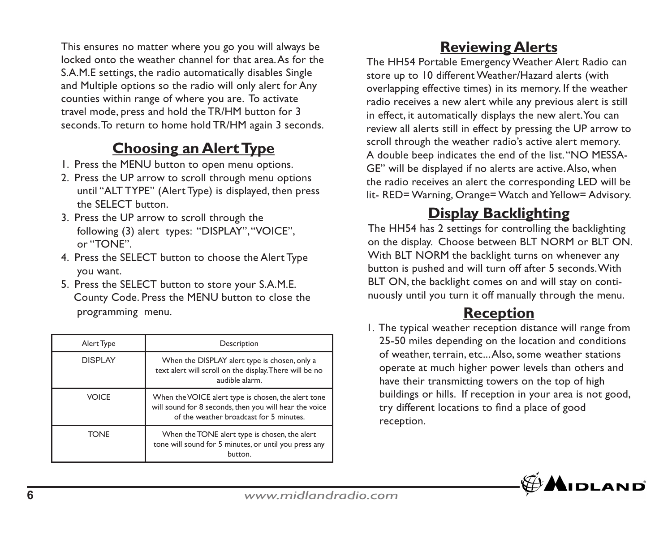This ensures no matter where you go you will always be locked onto the weather channel for that area. As for the S.A.M.E settings, the radio automatically disables Single and Multiple options so the radio will only alert for Any counties within range of where you are. To activate travel mode, press and hold the TR/HM button for 3 seconds. To return to home hold TR/HM again 3 seconds.

## **Choosing an Alert Type**

- 1. Press the MENU button to open menu options.
- 2. Press the UP arrow to scroll through menu options until "ALT TYPE" (Alert Type) is displayed, then press the SELECT button.
- 3. Press the UP arrow to scroll through the following (3) alert types: "DISPLAY", "VOICE", or "TONE".
- 4. Press the SELECT button to choose the Alert Type you want.
- 5. Press the SELECT button to store your S.A.M.E. County Code. Press the MENU button to close the programming menu.

| Alert Type      | Description                                                                                                                                              |  |  |
|-----------------|----------------------------------------------------------------------------------------------------------------------------------------------------------|--|--|
| <b>DISPI AY</b> | When the DISPLAY alert type is chosen, only a<br>text alert will scroll on the display. There will be no<br>audible alarm.                               |  |  |
| <b>VOICE</b>    | When the VOICE alert type is chosen, the alert tone<br>will sound for 8 seconds, then you will hear the voice<br>of the weather broadcast for 5 minutes. |  |  |
| <b>TONE</b>     | When the TONE alert type is chosen, the alert<br>tone will sound for 5 minutes, or until you press any<br>button.                                        |  |  |

## **Reviewing Alerts**

The HH54 Portable Emergency Weather Alert Radio can store up to 10 different Weather/Hazard alerts (with overlapping effective times) in its memory. If the weather radio receives a new alert while any previous alert is still in effect, it automatically displays the new alert. You can review all alerts still in effect by pressing the UP arrow to scroll through the weather radio's active alert memory. A double beep indicates the end of the list. "NO MESSA-GE" will be displayed if no alerts are active. Also, when the radio receives an alert the corresponding LED will be lit- RED= Warning, Orange= Watch and Yellow= Advisory.

### **Display Backlighting**

The HH54 has 2 settings for controlling the backlighting on the display. Choose between BLT NORM or BLT ON. With BLT NORM the backlight turns on whenever any button is pushed and will turn off after 5 seconds. With BLT ON, the backlight comes on and will stay on continuously until you turn it off manually through the menu.

## **Reception**

1. The typical weather reception distance will range from 25-50 miles depending on the location and conditions of weather, terrain, etc... Also, some weather stations operate at much higher power levels than others and have their transmitting towers on the top of high buildings or hills. If reception in your area is not good, try different locations to find a place of good reception.

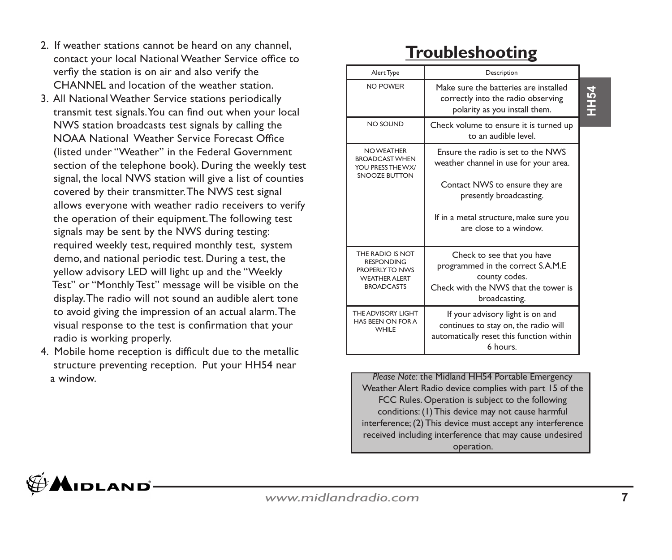- 2. If weather stations cannot be heard on any channel, contact your local National Weather Service office to verfiy the station is on air and also verify the CHANNEL and location of the weather station.
- 3. All National Weather Service stations periodically transmit test signals. You can find out when your local NWS station broadcasts test signals by calling the NOAA National Weather Service Forecast Office (listed under "Weather" in the Federal Government section of the telephone book). During the weekly test signal, the local NWS station will give a list of counties covered by their transmitter. The NWS test signal allows everyone with weather radio receivers to verify the operation of their equipment. The following test signals may be sent by the NWS during testing: required weekly test, required monthly test, system demo, and national periodic test. During a test, the yellow advisory LED will light up and the "Weekly Test" or "Monthly Test" message will be visible on the display. The radio will not sound an audible alert tone to avoid giving the impression of an actual alarm. The visual response to the test is confirmation that your radio is working properly.
- 4. Mobile home reception is difficult due to the metallic structure preventing reception. Put your HH54 near a window.

## **Troubleshooting**

| Alert Type                                                                                             | Description                                                                                                                                                                                                  |     |
|--------------------------------------------------------------------------------------------------------|--------------------------------------------------------------------------------------------------------------------------------------------------------------------------------------------------------------|-----|
| NO POWER                                                                                               | Make sure the batteries are installed<br>correctly into the radio observing<br>polarity as you install them.                                                                                                 | H54 |
| NO SOUND                                                                                               | Check volume to ensure it is turned up<br>to an audible level.                                                                                                                                               |     |
| NO WEATHER<br><b>BROADCAST WHEN</b><br>YOU PRESS THE WX/<br>SNOOZE BUTTON                              | Ensure the radio is set to the NWS<br>weather channel in use for your area.<br>Contact NWS to ensure they are<br>presently broadcasting.<br>If in a metal structure, make sure you<br>are close to a window. |     |
| THE RADIO IS NOT<br><b>RESPONDING</b><br>PROPERIY TO NWS<br><b>WEATHER AI FRT</b><br><b>BROADCASTS</b> | Check to see that you have<br>programmed in the correct S.A.M.E<br>county codes.<br>Check with the NWS that the tower is<br>broadcasting.                                                                    |     |
| THE ADVISORY LIGHT<br>HAS REEN ON FOR A<br>WHII F                                                      | If your advisory light is on and<br>continues to stay on, the radio will<br>automatically reset this function within<br>6 hours.                                                                             |     |

*Please Note:* the Midland HH54 Portable Emergency Weather Alert Radio device complies with part 15 of the FCC Rules. Operation is subject to the following conditions: (1) This device may not cause harmful interference; (2) This device must accept any interference received including interference that may cause undesired operation.

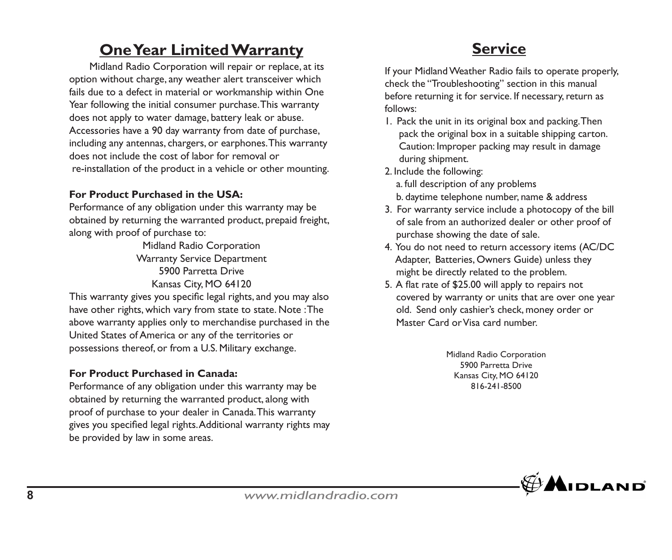## **One Year Limited Warranty**

 Midland Radio Corporation will repair or replace, at its option without charge, any weather alert transceiver which fails due to a defect in material or workmanship within One Year following the initial consumer purchase. This warranty does not apply to water damage, battery leak or abuse. Accessories have a 90 day warranty from date of purchase, including any antennas, chargers, or earphones. This warranty does not include the cost of labor for removal or re-installation of the product in a vehicle or other mounting.

### **For Product Purchased in the USA:**

Performance of any obligation under this warranty may be obtained by returning the warranted product, prepaid freight, along with proof of purchase to:

Midland Radio Corporation Warranty Service Department 5900 Parretta Drive Kansas City, MO 64120

This warranty gives you specific legal rights, and you may also have other rights, which vary from state to state. Note : The above warranty applies only to merchandise purchased in the United States of America or any of the territories or possessions thereof, or from a U.S. Military exchange.

### **For Product Purchased in Canada:**

Performance of any obligation under this warranty may be obtained by returning the warranted product, along with proof of purchase to your dealer in Canada. This warranty gives you specified legal rights. Additional warranty rights may be provided by law in some areas.

## **Service**

If your Midland Weather Radio fails to operate properly, check the "Troubleshooting" section in this manual before returning it for service. If necessary, return as follows:

- 1. Pack the unit in its original box and packing. Then pack the original box in a suitable shipping carton. Caution: Improper packing may result in damage during shipment.
- 2. Include the following:
	- a. full description of any problems
	- b. daytime telephone number, name & address
- 3. For warranty service include a photocopy of the bill of sale from an authorized dealer or other proof of purchase showing the date of sale.
- 4. You do not need to return accessory items (AC/DC Adapter, Batteries, Owners Guide) unless they might be directly related to the problem.
- 5. A flat rate of \$25.00 will apply to repairs not covered by warranty or units that are over one year old. Send only cashier's check, money order or Master Card or Visa card number.

Midland Radio Corporation 5900 Parretta Drive Kansas City, MO 64120 816-241-8500

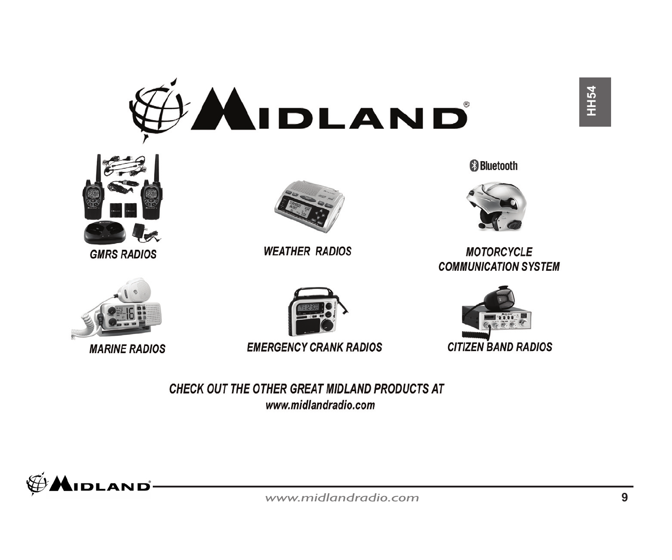



**GMRS RADIOS** 



**MARINE RADIOS** 



**WEATHER RADIOS** 

**EMERGENCY CRANK RADIOS** 

CHECK OUT THE OTHER GREAT MIDLAND PRODUCTS AT www.midlandradio.com



**B** Bluetooth

**HH54** 



**MOTORCYCLE COMMUNICATION SYSTEM**